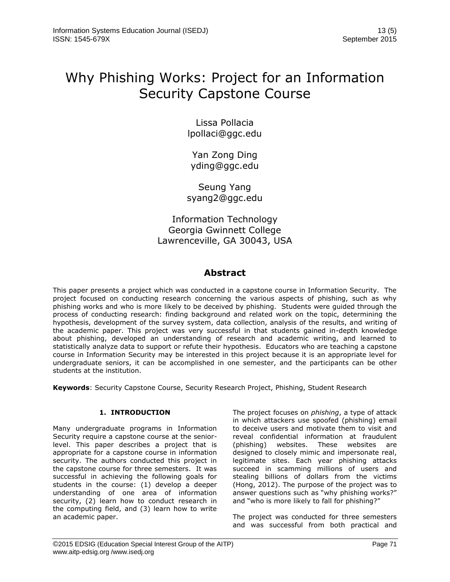# Why Phishing Works: Project for an Information Security Capstone Course

Lissa Pollacia [lpollaci@ggc.edu](mailto:lpollaci@ggc.edu)

Yan Zong Ding [yding@ggc.edu](mailto:yding@ggc.edu)

Seung Yang [syang2@ggc.edu](mailto:syang@ggc.edu)

Information Technology Georgia Gwinnett College Lawrenceville, GA 30043, USA

## **Abstract**

This paper presents a project which was conducted in a capstone course in Information Security. The project focused on conducting research concerning the various aspects of phishing, such as why phishing works and who is more likely to be deceived by phishing. Students were guided through the process of conducting research: finding background and related work on the topic, determining the hypothesis, development of the survey system, data collection, analysis of the results, and writing of the academic paper. This project was very successful in that students gained in-depth knowledge about phishing, developed an understanding of research and academic writing, and learned to statistically analyze data to support or refute their hypothesis. Educators who are teaching a capstone course in Information Security may be interested in this project because it is an appropriate level for undergraduate seniors, it can be accomplished in one semester, and the participants can be other students at the institution.

**Keywords**: Security Capstone Course, Security Research Project, Phishing, Student Research

## **1. INTRODUCTION**

Many undergraduate programs in Information Security require a capstone course at the seniorlevel. This paper describes a project that is appropriate for a capstone course in information security. The authors conducted this project in the capstone course for three semesters. It was successful in achieving the following goals for students in the course: (1) develop a deeper understanding of one area of information security, (2) learn how to conduct research in the computing field, and (3) learn how to write an academic paper.

The project focuses on *phishing*, a type of attack in which attackers use spoofed (phishing) email to deceive users and motivate them to visit and reveal confidential information at fraudulent (phishing) websites. These websites are designed to closely mimic and impersonate real, legitimate sites. Each year phishing attacks succeed in scamming millions of users and stealing billions of dollars from the victims (Hong, 2012). The purpose of the project was to answer questions such as "why phishing works?" and "who is more likely to fall for phishing?"

The project was conducted for three semesters and was successful from both practical and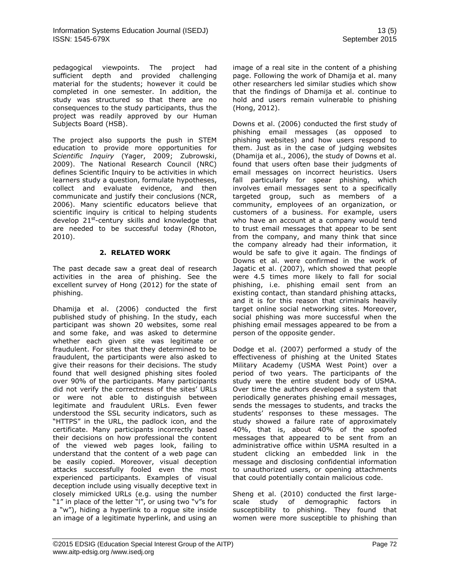pedagogical viewpoints. The project had sufficient depth and provided challenging material for the students; however it could be completed in one semester. In addition, the study was structured so that there are no consequences to the study participants, thus the project was readily approved by our Human Subjects Board (HSB).

The project also supports the push in STEM education to provide more opportunities for *Scientific Inquiry* (Yager, 2009; Zubrowski, 2009). The National Research Council (NRC) defines Scientific Inquiry to be activities in which learners study a question, formulate hypotheses, collect and evaluate evidence, and then communicate and justify their conclusions (NCR, 2006). Many scientific educators believe that scientific inquiry is critical to helping students develop 21st-century skills and knowledge that are needed to be successful today (Rhoton, 2010).

## **2. RELATED WORK**

The past decade saw a great deal of research activities in the area of phishing. See the excellent survey of Hong (2012) for the state of phishing.

Dhamija et al. (2006) conducted the first published study of phishing. In the study, each participant was shown 20 websites, some real and some fake, and was asked to determine whether each given site was legitimate or fraudulent. For sites that they determined to be fraudulent, the participants were also asked to give their reasons for their decisions. The study found that well designed phishing sites fooled over 90% of the participants. Many participants did not verify the correctness of the sites' URLs or were not able to distinguish between legitimate and fraudulent URLs. Even fewer understood the SSL security indicators, such as "HTTPS" in the URL, the padlock icon, and the certificate. Many participants incorrectly based their decisions on how professional the content of the viewed web pages look, failing to understand that the content of a web page can be easily copied. Moreover, visual deception attacks successfully fooled even the most experienced participants. Examples of visual deception include using visually deceptive text in closely mimicked URLs (e.g. using the number "1" in place of the letter "I", or using two "v"s for a "w"), hiding a hyperlink to a rogue site inside an image of a legitimate hyperlink, and using an image of a real site in the content of a phishing page. Following the work of Dhamija et al. many other researchers led similar studies which show that the findings of Dhamija et al. continue to hold and users remain vulnerable to phishing (Hong, 2012).

Downs et al. (2006) conducted the first study of phishing email messages (as opposed to phishing websites) and how users respond to them. Just as in the case of judging websites (Dhamija et al., 2006), the study of Downs et al. found that users often base their judgments of email messages on incorrect heuristics. Users fall particularly for spear phishing, which involves email messages sent to a specifically targeted group, such as members of a community, employees of an organization, or customers of a business. For example, users who have an account at a company would tend to trust email messages that appear to be sent from the company, and many think that since the company already had their information, it would be safe to give it again. The findings of Downs et al. were confirmed in the work of Jagatic et al. (2007), which showed that people were 4.5 times more likely to fall for social phishing, i.e. phishing email sent from an existing contact, than standard phishing attacks, and it is for this reason that criminals heavily target online social networking sites. Moreover, social phishing was more successful when the phishing email messages appeared to be from a person of the opposite gender.

Dodge et al. (2007) performed a study of the effectiveness of phishing at the United States Military Academy (USMA West Point) over a period of two years. The participants of the study were the entire student body of USMA. Over time the authors developed a system that periodically generates phishing email messages, sends the messages to students, and tracks the students' responses to these messages. The study showed a failure rate of approximately 40%, that is, about 40% of the spoofed messages that appeared to be sent from an administrative office within USMA resulted in a student clicking an embedded link in the message and disclosing confidential information to unauthorized users, or opening attachments that could potentially contain malicious code.

Sheng et al. (2010) conducted the first largescale study of demographic factors in susceptibility to phishing. They found that women were more susceptible to phishing than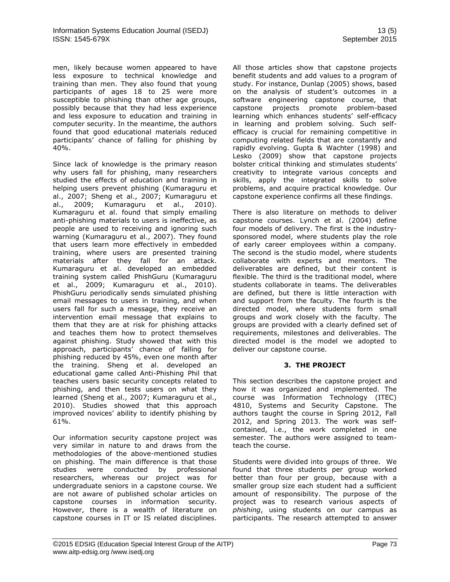men, likely because women appeared to have less exposure to technical knowledge and training than men. They also found that young participants of ages 18 to 25 were more susceptible to phishing than other age groups, possibly because that they had less experience and less exposure to education and training in computer security. In the meantime, the authors found that good educational materials reduced participants' chance of falling for phishing by 40%.

Since lack of knowledge is the primary reason why users fall for phishing, many researchers studied the effects of education and training in helping users prevent phishing (Kumaraguru et al., 2007; Sheng et al., 2007; Kumaraguru et al., 2009; Kumaraguru et al., 2010). Kumaraguru et al. found that simply emailing anti-phishing materials to users is ineffective, as people are used to receiving and ignoring such warning (Kumaraguru et al., 2007). They found that users learn more effectively in embedded training, where users are presented training materials after they fall for an attack. Kumaraguru et al. developed an embedded training system called PhishGuru (Kumaraguru et al., 2009; Kumaraguru et al., 2010). PhishGuru periodically sends simulated phishing email messages to users in training, and when users fall for such a message, they receive an intervention email message that explains to them that they are at risk for phishing attacks and teaches them how to protect themselves against phishing. Study showed that with this approach, participants' chance of falling for phishing reduced by 45%, even one month after the training. Sheng et al. developed an educational game called Anti-Phishing Phil that teaches users basic security concepts related to phishing, and then tests users on what they learned (Sheng et al., 2007; Kumaraguru et al., 2010). Studies showed that this approach improved novices' ability to identify phishing by 61%.

Our information security capstone project was very similar in nature to and draws from the methodologies of the above-mentioned studies on phishing. The main difference is that those studies were conducted by professional researchers, whereas our project was for undergraduate seniors in a capstone course. We are not aware of published scholar articles on capstone courses in information security. However, there is a wealth of literature on capstone courses in IT or IS related disciplines.

All those articles show that capstone projects benefit students and add values to a program of study. For instance, Dunlap (2005) shows, based on the analysis of student's outcomes in a software engineering capstone course, that capstone projects promote problem-based learning which enhances students' self-efficacy in learning and problem solving. Such selfefficacy is crucial for remaining competitive in computing related fields that are constantly and rapidly evolving. Gupta & Wachter (1998) and Lesko (2009) show that capstone projects bolster critical thinking and stimulates students' creativity to integrate various concepts and skills, apply the integrated skills to solve problems, and acquire practical knowledge. Our capstone experience confirms all these findings.

There is also literature on methods to deliver capstone courses. Lynch et al. (2004) define four models of delivery. The first is the industrysponsored model, where students play the role of early career employees within a company. The second is the studio model, where students collaborate with experts and mentors. The deliverables are defined, but their content is flexible. The third is the traditional model, where students collaborate in teams. The deliverables are defined, but there is little interaction with and support from the faculty. The fourth is the directed model, where students form small groups and work closely with the faculty. The groups are provided with a clearly defined set of requirements, milestones and deliverables. The directed model is the model we adopted to deliver our capstone course.

### **3. THE PROJECT**

This section describes the capstone project and how it was organized and implemented. The course was Information Technology (ITEC) 4810, Systems and Security Capstone. The authors taught the course in Spring 2012, Fall 2012, and Spring 2013. The work was selfcontained, i.e., the work completed in one semester. The authors were assigned to teamteach the course.

Students were divided into groups of three. We found that three students per group worked better than four per group, because with a smaller group size each student had a sufficient amount of responsibility. The purpose of the project was to research various aspects of *phishing*, using students on our campus as participants. The research attempted to answer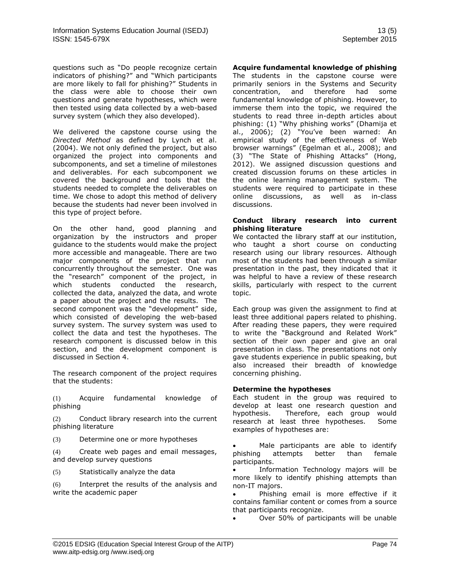questions such as "Do people recognize certain indicators of phishing?" and "Which participants are more likely to fall for phishing?" Students in the class were able to choose their own questions and generate hypotheses, which were then tested using data collected by a web-based survey system (which they also developed).

We delivered the capstone course using the *Directed Method* as defined by Lynch et al. (2004). We not only defined the project, but also organized the project into components and subcomponents, and set a timeline of milestones and deliverables. For each subcomponent we covered the background and tools that the students needed to complete the deliverables on time. We chose to adopt this method of delivery because the students had never been involved in this type of project before.

On the other hand, good planning and organization by the instructors and proper guidance to the students would make the project more accessible and manageable. There are two major components of the project that run concurrently throughout the semester. One was the "research" component of the project, in which students conducted the research, collected the data, analyzed the data, and wrote a paper about the project and the results. The second component was the "development" side, which consisted of developing the web-based survey system. The survey system was used to collect the data and test the hypotheses. The research component is discussed below in this section, and the development component is discussed in Section 4.

The research component of the project requires that the students:

(1) Acquire fundamental knowledge of phishing

(2) Conduct library research into the current phishing literature

(3) Determine one or more hypotheses

(4) Create web pages and email messages, and develop survey questions

(5) Statistically analyze the data

(6) Interpret the results of the analysis and write the academic paper

#### **Acquire fundamental knowledge of phishing**

The students in the capstone course were primarily seniors in the Systems and Security concentration, and therefore had some fundamental knowledge of phishing. However, to immerse them into the topic, we required the students to read three in-depth articles about phishing: (1) "Why phishing works" (Dhamija et al., 2006); (2) "You've been warned: An empirical study of the effectiveness of Web browser warnings" (Egelman et al., 2008); and (3) "The State of Phishing Attacks" (Hong, 2012). We assigned discussion questions and created discussion forums on these articles in the online learning management system. The students were required to participate in these online discussions, as well as in-class discussions.

#### **Conduct library research into current phishing literature**

We contacted the library staff at our institution, who taught a short course on conducting research using our library resources. Although most of the students had been through a similar presentation in the past, they indicated that it was helpful to have a review of these research skills, particularly with respect to the current topic.

Each group was given the assignment to find at least three additional papers related to phishing. After reading these papers, they were required to write the "Background and Related Work" section of their own paper and give an oral presentation in class. The presentations not only gave students experience in public speaking, but also increased their breadth of knowledge concerning phishing.

## **Determine the hypotheses**

Each student in the group was required to develop at least one research question and hypothesis. Therefore, each group would research at least three hypotheses. Some examples of hypotheses are:

 Male participants are able to identify phishing attempts better than female participants.

• Information Technology majors will be more likely to identify phishing attempts than non-IT majors.

 Phishing email is more effective if it contains familiar content or comes from a source that participants recognize.

Over 50% of participants will be unable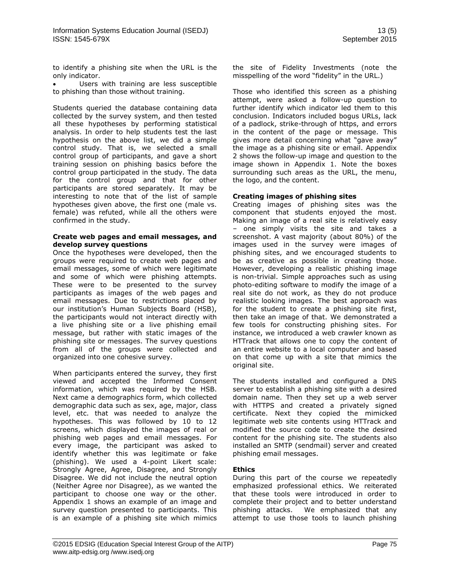to identify a phishing site when the URL is the only indicator.

 Users with training are less susceptible to phishing than those without training.

Students queried the database containing data collected by the survey system, and then tested all these hypotheses by performing statistical analysis. In order to help students test the last hypothesis on the above list, we did a simple control study. That is, we selected a small control group of participants, and gave a short training session on phishing basics before the control group participated in the study. The data for the control group and that for other participants are stored separately. It may be interesting to note that of the list of sample hypotheses given above, the first one (male vs. female) was refuted, while all the others were confirmed in the study.

#### **Create web pages and email messages, and develop survey questions**

Once the hypotheses were developed, then the groups were required to create web pages and email messages, some of which were legitimate and some of which were phishing attempts. These were to be presented to the survey participants as images of the web pages and email messages. Due to restrictions placed by our institution's Human Subjects Board (HSB), the participants would not interact directly with a live phishing site or a live phishing email message, but rather with static images of the phishing site or messages. The survey questions from all of the groups were collected and organized into one cohesive survey.

When participants entered the survey, they first viewed and accepted the Informed Consent information, which was required by the HSB. Next came a demographics form, which collected demographic data such as sex, age, major, class level, etc. that was needed to analyze the hypotheses. This was followed by 10 to 12 screens, which displayed the images of real or phishing web pages and email messages. For every image, the participant was asked to identify whether this was legitimate or fake (phishing). We used a 4-point Likert scale: Strongly Agree, Agree, Disagree, and Strongly Disagree. We did not include the neutral option (Neither Agree nor Disagree), as we wanted the participant to choose one way or the other. Appendix 1 shows an example of an image and survey question presented to participants. This is an example of a phishing site which mimics

the site of Fidelity Investments (note the misspelling of the word "fidelity" in the URL.)

Those who identified this screen as a phishing attempt, were asked a follow-up question to further identify which indicator led them to this conclusion. Indicators included bogus URLs, lack of a padlock, strike-through of https, and errors in the content of the page or message. This gives more detail concerning what "gave away" the image as a phishing site or email. Appendix 2 shows the follow-up image and question to the image shown in Appendix 1. Note the boxes surrounding such areas as the URL, the menu, the logo, and the content.

## **Creating images of phishing sites**

Creating images of phishing sites was the component that students enjoyed the most. Making an image of a real site is relatively easy – one simply visits the site and takes a screenshot. A vast majority (about 80%) of the images used in the survey were images of phishing sites, and we encouraged students to be as creative as possible in creating those. However, developing a realistic phishing image is non-trivial. Simple approaches such as using photo-editing software to modify the image of a real site do not work, as they do not produce realistic looking images. The best approach was for the student to create a phishing site first, then take an image of that. We demonstrated a few tools for constructing phishing sites. For instance, we introduced a web crawler known as HTTrack that allows one to copy the content of an entire website to a local computer and based on that come up with a site that mimics the original site.

The students installed and configured a DNS server to establish a phishing site with a desired domain name. Then they set up a web server with HTTPS and created a privately signed certificate. Next they copied the mimicked legitimate web site contents using HTTrack and modified the source code to create the desired content for the phishing site. The students also installed an SMTP (sendmail) server and created phishing email messages.

### **Ethics**

During this part of the course we repeatedly emphasized professional ethics. We reiterated that these tools were introduced in order to complete their project and to better understand phishing attacks. We emphasized that any attempt to use those tools to launch phishing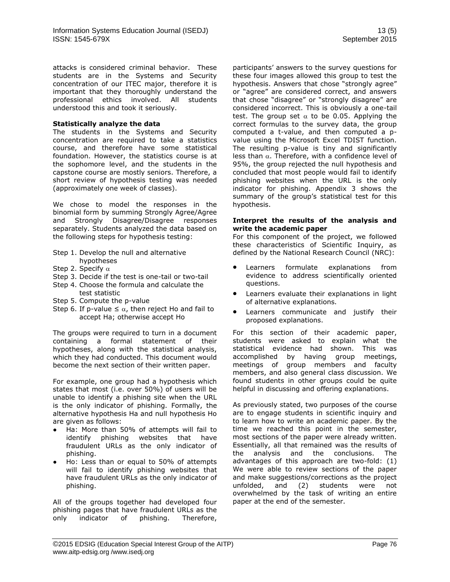attacks is considered criminal behavior. These students are in the Systems and Security concentration of our ITEC major, therefore it is important that they thoroughly understand the professional ethics involved. All students understood this and took it seriously.

#### **Statistically analyze the data**

The students in the Systems and Security concentration are required to take a statistics course, and therefore have some statistical foundation. However, the statistics course is at the sophomore level, and the students in the capstone course are mostly seniors. Therefore, a short review of hypothesis testing was needed (approximately one week of classes).

We chose to model the responses in the binomial form by summing Strongly Agree/Agree and Strongly Disagree/Disagree responses separately. Students analyzed the data based on the following steps for hypothesis testing:

- Step 1. Develop the null and alternative hypotheses
- Step 2. Specify  $\alpha$
- Step 3. Decide if the test is one-tail or two-tail
- Step 4. Choose the formula and calculate the
- test statistic
- Step 5. Compute the p-value
- Step 6. If p-value  $\leq \alpha$ , then reject Ho and fail to accept Ha; otherwise accept Ho

The groups were required to turn in a document containing a formal statement of their hypotheses, along with the statistical analysis, which they had conducted. This document would become the next section of their written paper.

For example, one group had a hypothesis which states that most (i.e. over 50%) of users will be unable to identify a phishing site when the URL is the only indicator of phishing. Formally, the alternative hypothesis Ha and null hypothesis Ho are given as follows:

- Ha: More than 50% of attempts will fail to identify phishing websites that have fraudulent URLs as the only indicator of phishing.
- Ho: Less than or equal to 50% of attempts will fail to identify phishing websites that have fraudulent URLs as the only indicator of phishing.

All of the groups together had developed four phishing pages that have fraudulent URLs as the only indicator of phishing. Therefore,

participants' answers to the survey questions for these four images allowed this group to test the hypothesis. Answers that chose "strongly agree" or "agree" are considered correct, and answers that chose "disagree" or "strongly disagree" are considered incorrect. This is obviously a one-tail test. The group set  $\alpha$  to be 0.05. Applying the correct formulas to the survey data, the group computed a t-value, and then computed a pvalue using the Microsoft Excel TDIST function. The resulting p-value is tiny and significantly less than  $\alpha$ . Therefore, with a confidence level of 95%, the group rejected the null hypothesis and concluded that most people would fail to identify phishing websites when the URL is the only indicator for phishing. Appendix 3 shows the summary of the group's statistical test for this hypothesis.

#### **Interpret the results of the analysis and write the academic paper**

For this component of the project, we followed these characteristics of Scientific Inquiry, as defined by the National Research Council (NRC):

- Learners formulate explanations from evidence to address scientifically oriented questions.
- Learners evaluate their explanations in light of alternative explanations.
- Learners communicate and justify their proposed explanations.

For this section of their academic paper, students were asked to explain what the statistical evidence had shown. This was accomplished by having group meetings, meetings of group members and faculty members, and also general class discussion. We found students in other groups could be quite helpful in discussing and offering explanations.

As previously stated, two purposes of the course are to engage students in scientific inquiry and to learn how to write an academic paper. By the time we reached this point in the semester, most sections of the paper were already written. Essentially, all that remained was the results of the analysis and the conclusions. The advantages of this approach are two-fold: (1) We were able to review sections of the paper and make suggestions/corrections as the project unfolded, and (2) students were not overwhelmed by the task of writing an entire paper at the end of the semester.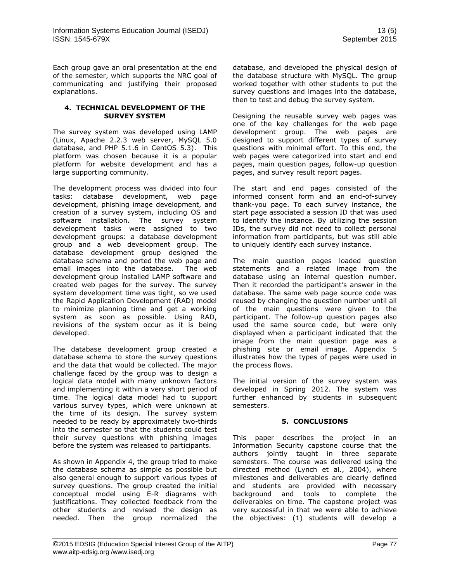Each group gave an oral presentation at the end of the semester, which supports the NRC goal of communicating and justifying their proposed explanations.

#### **4. TECHNICAL DEVELOPMENT OF THE SURVEY SYSTEM**

The survey system was developed using LAMP (Linux, Apache 2.2.3 web server, MySQL 5.0 database, and PHP 5.1.6 in CentOS 5.3). This platform was chosen because it is a popular platform for website development and has a large supporting community.

The development process was divided into four tasks: database development, web page development, phishing image development, and creation of a survey system, including OS and software installation. The survey system development tasks were assigned to two development groups: a database development group and a web development group. The database development group designed the database schema and ported the web page and email images into the database. The web development group installed LAMP software and created web pages for the survey. The survey system development time was tight, so we used the Rapid Application Development (RAD) model to minimize planning time and get a working system as soon as possible. Using RAD, revisions of the system occur as it is being developed.

The database development group created a database schema to store the survey questions and the data that would be collected. The major challenge faced by the group was to design a logical data model with many unknown factors and implementing it within a very short period of time. The logical data model had to support various survey types, which were unknown at the time of its design. The survey system needed to be ready by approximately two-thirds into the semester so that the students could test their survey questions with phishing images before the system was released to participants.

As shown in Appendix 4, the group tried to make the database schema as simple as possible but also general enough to support various types of survey questions. The group created the initial conceptual model using E-R diagrams with justifications. They collected feedback from the other students and revised the design as needed. Then the group normalized the

database, and developed the physical design of the database structure with MySQL. The group worked together with other students to put the survey questions and images into the database, then to test and debug the survey system.

Designing the reusable survey web pages was one of the key challenges for the web page development group. The web pages are designed to support different types of survey questions with minimal effort. To this end, the web pages were categorized into start and end pages, main question pages, follow-up question pages, and survey result report pages.

The start and end pages consisted of the informed consent form and an end-of-survey thank-you page. To each survey instance, the start page associated a session ID that was used to identify the instance. By utilizing the session IDs, the survey did not need to collect personal information from participants, but was still able to uniquely identify each survey instance.

The main question pages loaded question statements and a related image from the database using an internal question number. Then it recorded the participant's answer in the database. The same web page source code was reused by changing the question number until all of the main questions were given to the participant. The follow-up question pages also used the same source code, but were only displayed when a participant indicated that the image from the main question page was a phishing site or email image. Appendix 5 illustrates how the types of pages were used in the process flows.

The initial version of the survey system was developed in Spring 2012. The system was further enhanced by students in subsequent semesters.

## **5. CONCLUSIONS**

This paper describes the project in an Information Security capstone course that the authors jointly taught in three separate semesters. The course was delivered using the directed method (Lynch et al., 2004), where milestones and deliverables are clearly defined and students are provided with necessary background and tools to complete the deliverables on time. The capstone project was very successful in that we were able to achieve the objectives: (1) students will develop a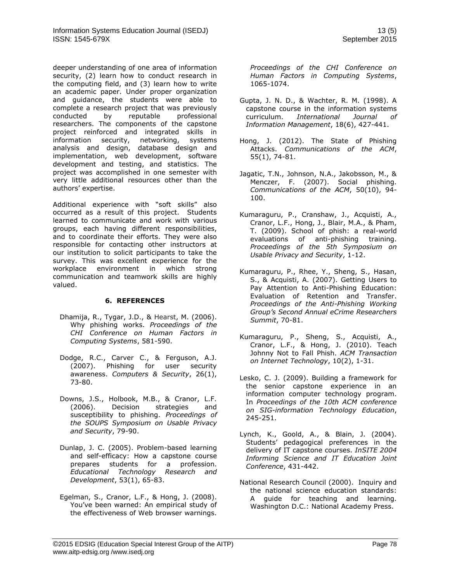deeper understanding of one area of information security, (2) learn how to conduct research in the computing field, and (3) learn how to write an academic paper. Under proper organization and guidance, the students were able to complete a research project that was previously conducted by reputable professional researchers. The components of the capstone project reinforced and integrated skills in information security, networking, systems analysis and design, database design and implementation, web development, software development and testing, and statistics. The project was accomplished in one semester with very little additional resources other than the authors' expertise.

Additional experience with "soft skills" also occurred as a result of this project. Students learned to communicate and work with various groups, each having different responsibilities, and to coordinate their efforts. They were also responsible for contacting other instructors at our institution to solicit participants to take the survey. This was excellent experience for the workplace environment in which strong communication and teamwork skills are highly valued.

### **6. REFERENCES**

- Dhamija, R., Tygar, J.D., & Hearst, M. (2006). Why phishing works. *Proceedings of the CHI Conference on Human Factors in Computing Systems*, 581-590.
- Dodge, R.C., Carver C., & Ferguson, A.J. (2007). Phishing for user security awareness. *Computers & Security*, 26(1), 73-80.
- Downs, J.S., Holbook, M.B., & Cranor, L.F. (2006). Decision strategies and susceptibility to phishing. *Proceedings of the SOUPS Symposium on Usable Privacy and Security*, 79-90.
- Dunlap, J. C. (2005). Problem-based learning and self-efficacy: How a capstone course prepares students for a profession. *Educational Technology Research and Development*, 53(1), 65-83.
- Egelman, S., Cranor, L.F., & Hong, J. (2008). You've been warned: An empirical study of the effectiveness of Web browser warnings.

*Proceedings of the CHI Conference on Human Factors in Computing Systems*, 1065-1074.

- Gupta, J. N. D., & Wachter, R. M. (1998). A capstone course in the information systems curriculum. *International Journal of Information Management*, 18(6), 427-441.
- Hong, J. (2012). The State of Phishing Attacks. *Communications of the ACM*, 55(1), 74-81.
- Jagatic, T.N., Johnson, N.A., Jakobsson, M., & Menczer, F. (2007). Social phishing. *Communications of the ACM*, 50(10), 94- 100.
- Kumaraguru, P., Cranshaw, J., Acquisti, A., Cranor, L.F., Hong, J., Blair, M.A., & Pham, T. (2009). School of phish: a real-world evaluations of anti-phishing training. *Proceedings of the 5th Symposium on Usable Privacy and Security*, 1-12.
- Kumaraguru, P., Rhee, Y., Sheng, S., Hasan, S., & Acquisti, A. (2007). Getting Users to Pay Attention to Anti-Phishing Education: Evaluation of Retention and Transfer. *Proceedings of the Anti-Phishing Working Group's Second Annual eCrime Researchers Summit*, 70-81.
- Kumaraguru, P., Sheng, S., Acquisti, A., Cranor, L.F., & Hong, J. (2010). Teach Johnny Not to Fall Phish. *ACM Transaction on Internet Technology*, 10(2), 1-31.
- Lesko, C. J. (2009). Building a framework for the senior capstone experience in an information computer technology program. In *Proceedings of the 10th ACM conference on SIG-information Technology Education*, 245-251.
- Lynch, K., Goold, A., & Blain, J. (2004). Students' pedagogical preferences in the delivery of IT capstone courses. *InSITE 2004 Informing Science and IT Education Joint Conference*, 431-442.
- National Research Council (2000). Inquiry and the national science education standards: A guide for teaching and learning. Washington D.C.: National Academy Press.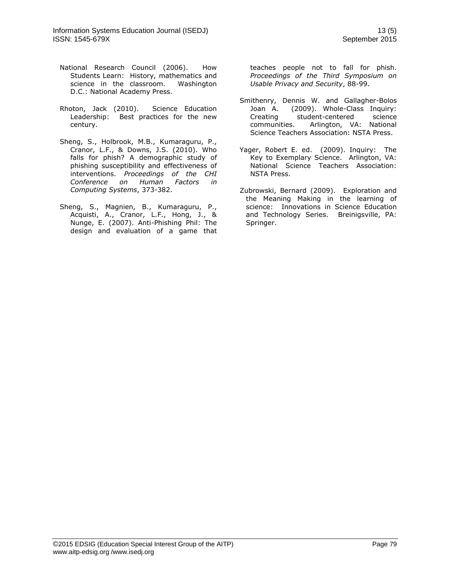- National Research Council (2006). How Students Learn: History, mathematics and science in the classroom. Washington D.C.: National Academy Press.
- Rhoton, Jack (2010). Science Education Leadership: Best practices for the new century.
- Sheng, S., Holbrook, M.B., Kumaraguru, P., Cranor, L.F., & Downs, J.S. (2010). Who falls for phish? A demographic study of phishing susceptibility and effectiveness of interventions. *Proceedings of the CHI Conference on Human Factors in Computing Systems*, 373-382.
- Sheng, S., Magnien, B., Kumaraguru, P., Acquisti, A., Cranor, L.F., Hong, J., & Nunge, E. (2007). Anti-Phishing Phil: The design and evaluation of a game that

teaches people not to fall for phish. *Proceedings of the Third Symposium on Usable Privacy and Security*, 88-99.

- Smithenry, Dennis W. and Gallagher-Bolos Joan A. (2009). Whole-Class Inquiry: Creating student-centered science communities. Arlington, VA: National Science Teachers Association: NSTA Press.
- Yager, Robert E. ed. (2009). Inquiry: The Key to Exemplary Science. Arlington, VA: National Science Teachers Association: NSTA Press.
- Zubrowski, Bernard (2009). Exploration and the Meaning Making in the learning of science: Innovations in Science Education and Technology Series. Breinigsville, PA: Springer.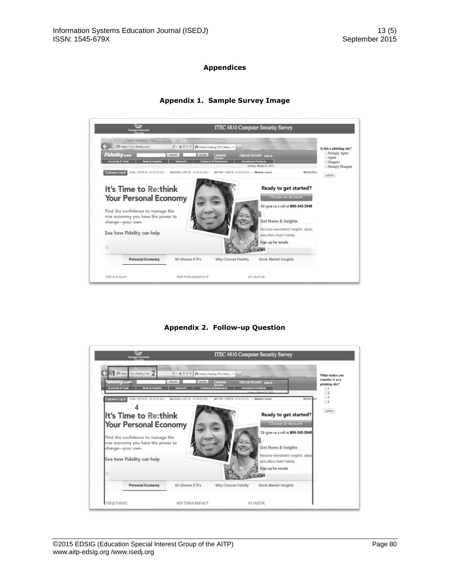## **Appendices**

#### **ITEC 4810 Computer Security Survey**  $\mathcal{O} \, \ast \, \, \widehat{\boxplus} \, \, \widehat{\boxtimes} \, \, \widehat{\boxtimes} \, \, \widehat{\boxtimes} \, \, \widehat{\boxtimes} \, \, \text{Online Trading, ETFs, Mutu...} \times \, \Big|$ Is this a phishing site? Strongly Agree To **Disagree** Sunday, March 31, 2013  $\odot$  Strongly Disagree Customer Log In 0.00: 14,578.54 +52.38 (0.36%) NASDAQ: 3,267.52 +11.00 (0.34%) SRP 500: 1,569.19 +6.34 (0.41%) - Markets closed Market New submit It's Time to Re:think Ready to get started? **Your Personal Economy** Or give us a call at 800-343-3548 Find the confidence to manage the<br>one economy you have the power to change-your own. Get News & Insights eceive investment insights, ideas, See how Fidelity can help and offers from Fidelity. Sign up for emails  $(ii)$ 3720 Personal Economy 65 iShares ETFs Stock Market Insights Why Choose Fidelity **TDANING** DETIDEMENT EIIMING

## **Appendix 1. Sample Survey Image**

**Appendix 2. Follow-up Question**

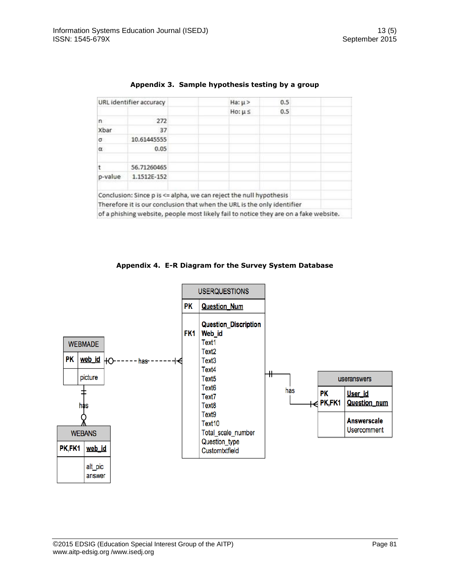| URL identifier accuracy |             | $Ha: \mu$                                                                            | 0.5 |  |
|-------------------------|-------------|--------------------------------------------------------------------------------------|-----|--|
|                         |             | $Ho: \mu \leq$                                                                       | 0.5 |  |
| n                       | 272         |                                                                                      |     |  |
| Xbar                    | 37          |                                                                                      |     |  |
| $\sigma$                | 10.61445555 |                                                                                      |     |  |
| $\alpha$                | 0.05        |                                                                                      |     |  |
|                         | 56.71260465 |                                                                                      |     |  |
| p-value                 | 1.1512E-152 |                                                                                      |     |  |
|                         |             | Conclusion: Since p is <= alpha, we can reject the null hypothesis                   |     |  |
|                         |             | Therefore it is our conclusion that when the URL is the only identifier              |     |  |
|                         |             | of a phishing website, people most likely fail to notice they are on a fake website. |     |  |

## **Appendix 3. Sample hypothesis testing by a group**

## **Appendix 4. E-R Diagram for the Survey System Database**